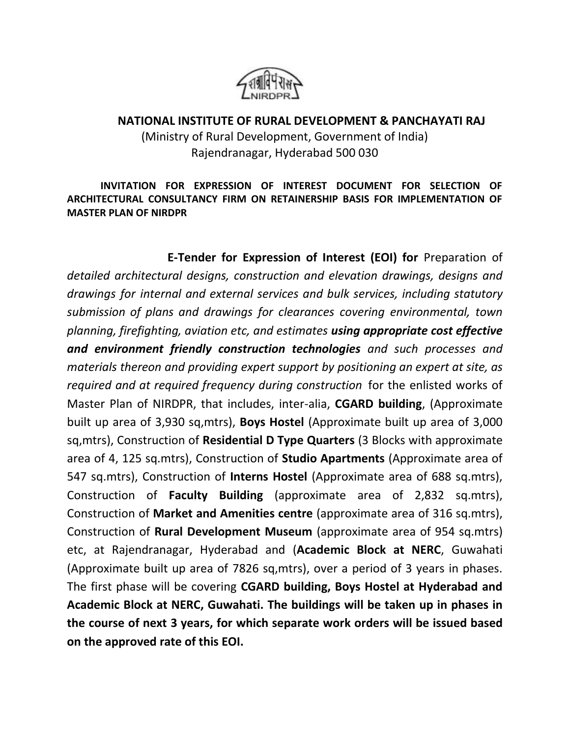

## **NATIONAL INSTITUTE OF RURAL DEVELOPMENT & PANCHAYATI RAJ** (Ministry of Rural Development, Government of India) Rajendranagar, Hyderabad 500 030

**INVITATION FOR EXPRESSION OF INTEREST DOCUMENT FOR SELECTION OF ARCHITECTURAL CONSULTANCY FIRM ON RETAINERSHIP BASIS FOR IMPLEMENTATION OF MASTER PLAN OF NIRDPR**

**E-Tender for Expression of Interest (EOI) for** Preparation of *detailed architectural designs, construction and elevation drawings, designs and drawings for internal and external services and bulk services, including statutory submission of plans and drawings for clearances covering environmental, town planning, firefighting, aviation etc, and estimates using appropriate cost effective and environment friendly construction technologies and such processes and materials thereon and providing expert support by positioning an expert at site, as required and at required frequency during construction* for the enlisted works of Master Plan of NIRDPR, that includes, inter-alia, **CGARD building**, (Approximate built up area of 3,930 sq,mtrs), **Boys Hostel** (Approximate built up area of 3,000 sq,mtrs), Construction of **Residential D Type Quarters** (3 Blocks with approximate area of 4, 125 sq.mtrs), Construction of **Studio Apartments** (Approximate area of 547 sq.mtrs), Construction of **Interns Hostel** (Approximate area of 688 sq.mtrs), Construction of **Faculty Building** (approximate area of 2,832 sq.mtrs), Construction of **Market and Amenities centre** (approximate area of 316 sq.mtrs), Construction of **Rural Development Museum** (approximate area of 954 sq.mtrs) etc, at Rajendranagar, Hyderabad and (**Academic Block at NERC**, Guwahati (Approximate built up area of 7826 sq,mtrs), over a period of 3 years in phases. The first phase will be covering **CGARD building, Boys Hostel at Hyderabad and Academic Block at NERC, Guwahati. The buildings will be taken up in phases in the course of next 3 years, for which separate work orders will be issued based on the approved rate of this EOI.**